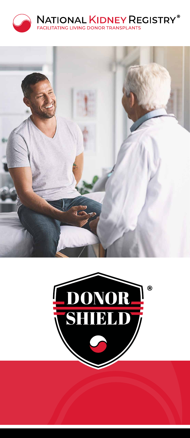



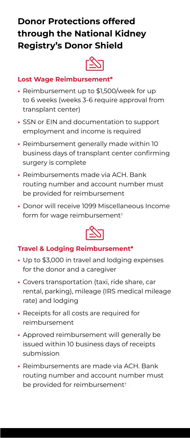## **Donor Protections offered through the National Kidney Registry's Donor Shield**



#### **Lost Wage Reimbursement\***

- **•** Reimbursement up to \$1,500/week for up to 6 weeks (weeks 3-6 require approval from transplant center)
- **•** SSN or EIN and documentation to support employment and income is required
- **•** Reimbursement generally made within 10 business days of transplant center confirming surgery is complete
- **•** Reimbursements made via ACH. Bank routing number and account number must be provided for reimbursement
- **•** Donor will receive 1099 Miscellaneous Income form for wage reimbursement†



#### **Travel & Lodging Reimbursement\***

- **•** Up to \$3,000 in travel and lodging expenses for the donor and a caregiver
- **•** Covers transportation (taxi, ride share, car rental, parking), mileage (IRS medical mileage rate) and lodging
- **•** Receipts for all costs are required for reimbursement
- **•** Approved reimbursement will generally be issued within 10 business days of receipts submission
- **•** Reimbursements are made via ACH. Bank routing number and account number must be provided for reimbursement†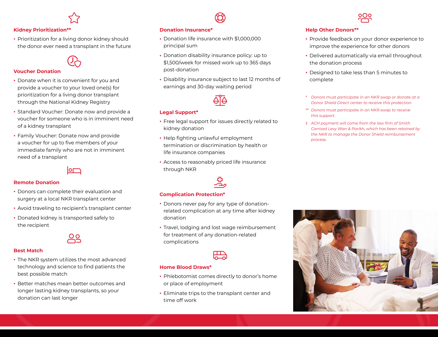# $\overleftrightarrow{\mathcal{L}}$

#### **Kidney Prioritization\*\***

**•** Prioritization for a living donor kidney should the donor ever need a transplant in the future



#### **Voucher Donation**

- **•** Donate when it is convenient for you and provide a voucher to your loved one(s) for prioritization for a living donor transplant through the National Kidney Registry
- **•** Standard Voucher: Donate now and provide a voucher for someone who is in imminent need of a kidney transplant
- **•** Family Voucher: Donate now and provide a voucher for up to five members of your immediate family who are not in imminent need of a transplant



#### **Remote Donation**

- **•** Donors can complete their evaluation and surgery at a local NKR transplant center
- **•** Avoid traveling to recipient's transplant center
- **•** Donated kidney is transported safely to the recipient

# <u>os</u>

#### **Best Match**

- **•** The NKR system utilizes the most advanced technology and science to find patients the best possible match
- **•** Better matches mean better outcomes and longer lasting kidney transplants, so your donation can last longer

#### **Donation Insurance\***

- **•** Donation life insurance with \$1,000,000 principal sum
- **•** Donation disability insurance policy: up to \$1,500/week for missed work up to 365 days post-donation
- **•** Disability insurance subject to last 12 months of earnings and 30-day waiting period

 $\bigotimes$ 



#### **Legal Support\***

- **•** Free legal support for issues directly related to kidney donation
- **•** Help fighting unlawful employment termination or discrimination by health or life insurance companies
- **•** Access to reasonably priced life insurance through NKR



#### **Complication Protection\***

- **•** Donors never pay for any type of donationrelated complication at any time after kidney donation
- **•** Travel, lodging and lost wage reimbursement for treatment of any donation-related complications



#### **Home Blood Draws\***

- **•** Phlebotomist comes directly to donor's home or place of employment
- **•** Eliminate trips to the transplant center and time off work



#### **Help Other Donors\*\***

- **•** Provide feedback on your donor experience to improve the experience for other donors
- **•** Delivered automatically via email throughout the donation process
- **•** Designed to take less than 5 minutes to complete
- \* *Donors must participate in an NKR swap or donate at a Donor Shield Direct center to receive this protection.*
- \*\* *Donors must participate in an NKR swap to receive this support.*
- † *ACH payment will come from the law firm of Smith Carroad Levy Wan & Parikh, which has been retained by the NKR to manage the Donor Shield reimbursement process.*